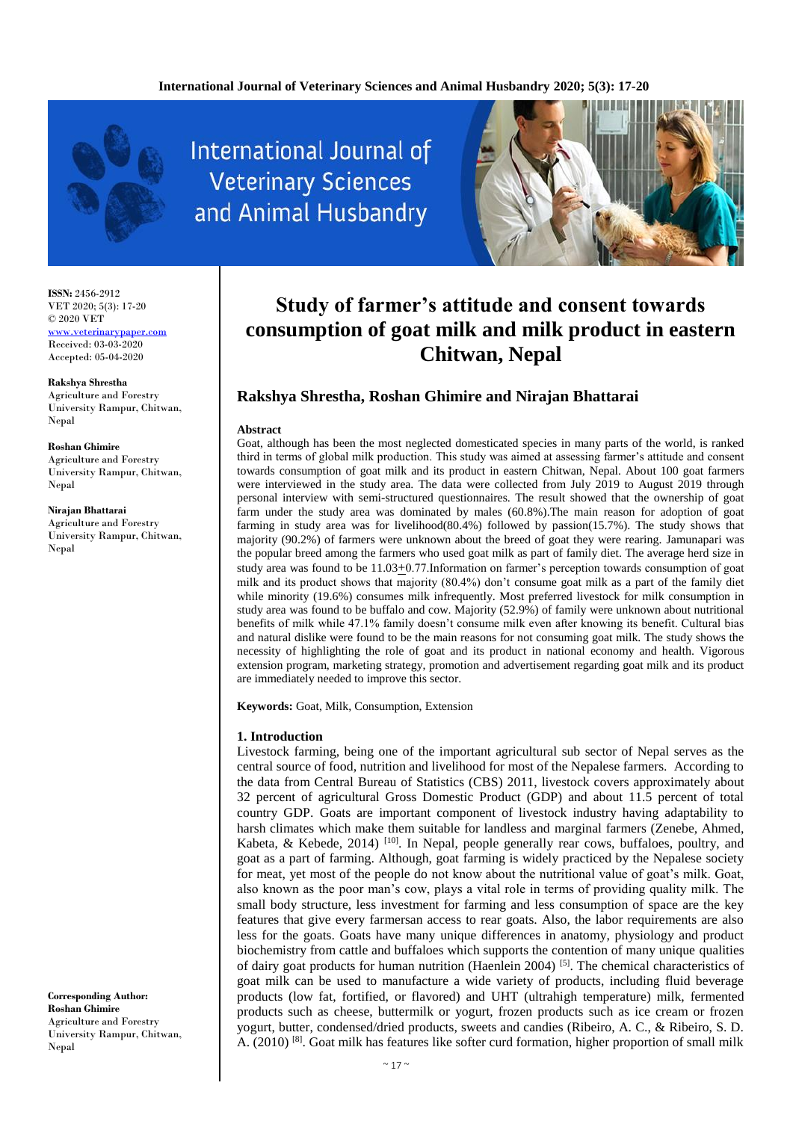

**International Journal of Veterinary Sciences** and Animal Husbandry



# **Study of farmer's attitude and consent towards consumption of goat milk and milk product in eastern Chitwan, Nepal**

# **Rakshya Shrestha, Roshan Ghimire and Nirajan Bhattarai**

### **Abstract**

Goat, although has been the most neglected domesticated species in many parts of the world, is ranked third in terms of global milk production. This study was aimed at assessing farmer's attitude and consent towards consumption of goat milk and its product in eastern Chitwan, Nepal. About 100 goat farmers were interviewed in the study area. The data were collected from July 2019 to August 2019 through personal interview with semi-structured questionnaires. The result showed that the ownership of goat farm under the study area was dominated by males (60.8%).The main reason for adoption of goat farming in study area was for livelihood(80.4%) followed by passion(15.7%). The study shows that majority (90.2%) of farmers were unknown about the breed of goat they were rearing. Jamunapari was the popular breed among the farmers who used goat milk as part of family diet. The average herd size in study area was found to be 11.03+0.77.Information on farmer's perception towards consumption of goat milk and its product shows that majority (80.4%) don't consume goat milk as a part of the family diet while minority (19.6%) consumes milk infrequently. Most preferred livestock for milk consumption in study area was found to be buffalo and cow. Majority (52.9%) of family were unknown about nutritional benefits of milk while 47.1% family doesn't consume milk even after knowing its benefit. Cultural bias and natural dislike were found to be the main reasons for not consuming goat milk. The study shows the necessity of highlighting the role of goat and its product in national economy and health. Vigorous extension program, marketing strategy, promotion and advertisement regarding goat milk and its product are immediately needed to improve this sector.

**Keywords:** Goat, Milk, Consumption, Extension

### **1. Introduction**

Livestock farming, being one of the important agricultural sub sector of Nepal serves as the central source of food, nutrition and livelihood for most of the Nepalese farmers. According to the data from Central Bureau of Statistics (CBS) 2011, livestock covers approximately about 32 percent of agricultural Gross Domestic Product (GDP) and about 11.5 percent of total country GDP. Goats are important component of livestock industry having adaptability to harsh climates which make them suitable for landless and marginal farmers (Zenebe, Ahmed, Kabeta, & Kebede, 2014)<sup>[10]</sup>. In Nepal, people generally rear cows, buffaloes, poultry, and goat as a part of farming. Although, goat farming is widely practiced by the Nepalese society for meat, yet most of the people do not know about the nutritional value of goat's milk. Goat, also known as the poor man's cow, plays a vital role in terms of providing quality milk. The small body structure, less investment for farming and less consumption of space are the key features that give every farmersan access to rear goats. Also, the labor requirements are also less for the goats. Goats have many unique differences in anatomy, physiology and product biochemistry from cattle and buffaloes which supports the contention of many unique qualities of dairy goat products for human nutrition (Haenlein 2004) [5]. The chemical characteristics of goat milk can be used to manufacture a wide variety of products, including fluid beverage products (low fat, fortified, or flavored) and UHT (ultrahigh temperature) milk, fermented products such as cheese, buttermilk or yogurt, frozen products such as ice cream or frozen yogurt, butter, condensed/dried products, sweets and candies (Ribeiro, A. C., & Ribeiro, S. D. A. (2010)<sup>[8]</sup>. Goat milk has features like softer curd formation, higher proportion of small milk

**ISSN:** 2456-2912 VET 2020; 5(3): 17-20 © 2020 VET

<www.veterinarypaper.com> Received: 03-03-2020 Accepted: 05-04-2020

**Rakshya Shrestha** Agriculture and Forestry University Rampur, Chitwan, Nepal

**Roshan Ghimire** Agriculture and Forestry University Rampur, Chitwan, Nepal

**Nirajan Bhattarai** Agriculture and Forestry

University Rampur, Chitwan, Nepal

**Corresponding Author: Roshan Ghimire** Agriculture and Forestry University Rampur, Chitwan, Nepal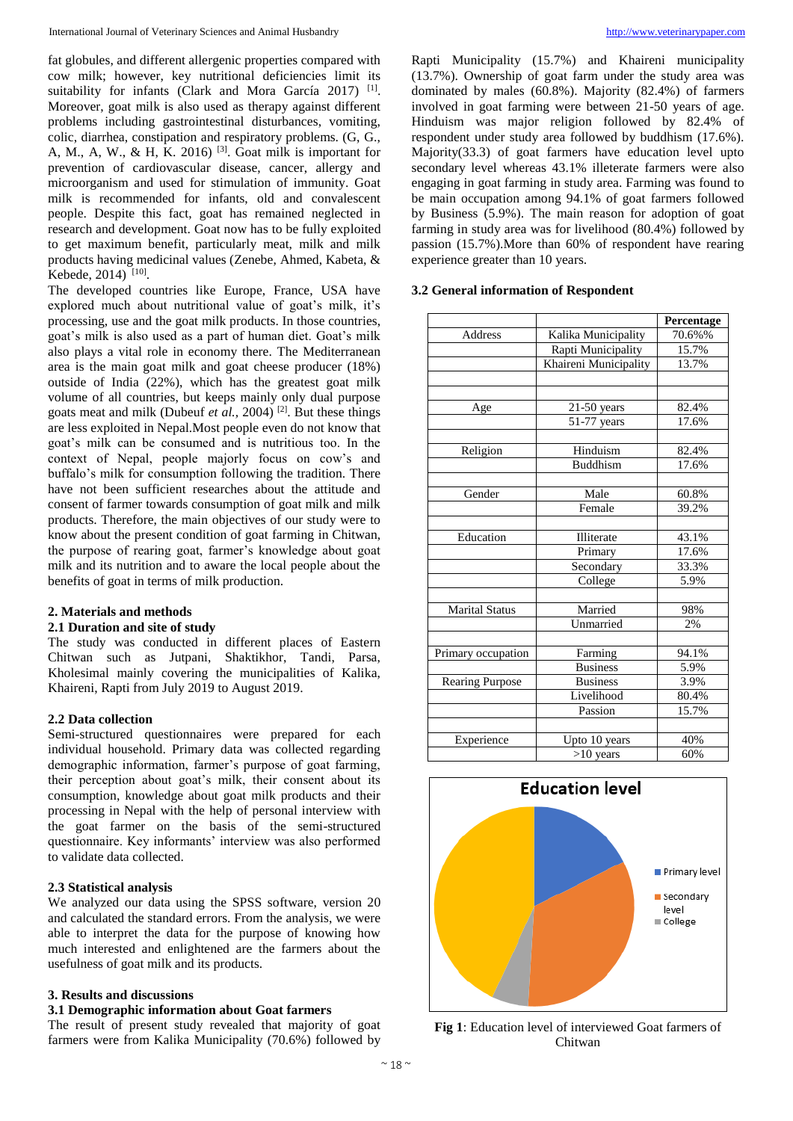fat globules, and different allergenic properties compared with cow milk; however, key nutritional deficiencies limit its suitability for infants (Clark and Mora García 2017)<sup>[1]</sup>. Moreover, goat milk is also used as therapy against different problems including gastrointestinal disturbances, vomiting, colic, diarrhea, constipation and respiratory problems. (G, G., A, M., A, W., & H, K. 2016) [3]. Goat milk is important for prevention of cardiovascular disease, cancer, allergy and microorganism and used for stimulation of immunity. Goat milk is recommended for infants, old and convalescent people. Despite this fact, goat has remained neglected in research and development. Goat now has to be fully exploited to get maximum benefit, particularly meat, milk and milk products having medicinal values (Zenebe, Ahmed, Kabeta, & Kebede, 2014)<sup>[10]</sup>.

The developed countries like Europe, France, USA have explored much about nutritional value of goat's milk, it's processing, use and the goat milk products. In those countries, goat's milk is also used as a part of human diet. Goat's milk also plays a vital role in economy there. The Mediterranean area is the main goat milk and goat cheese producer (18%) outside of India (22%), which has the greatest goat milk volume of all countries, but keeps mainly only dual purpose goats meat and milk (Dubeuf *et al.,* 2004) [2]. But these things are less exploited in Nepal.Most people even do not know that goat's milk can be consumed and is nutritious too. In the context of Nepal, people majorly focus on cow's and buffalo's milk for consumption following the tradition. There have not been sufficient researches about the attitude and consent of farmer towards consumption of goat milk and milk products. Therefore, the main objectives of our study were to know about the present condition of goat farming in Chitwan, the purpose of rearing goat, farmer's knowledge about goat milk and its nutrition and to aware the local people about the benefits of goat in terms of milk production.

# **2. Materials and methods**

# **2.1 Duration and site of study**

The study was conducted in different places of Eastern Chitwan such as Jutpani, Shaktikhor, Tandi, Parsa, Kholesimal mainly covering the municipalities of Kalika, Khaireni, Rapti from July 2019 to August 2019.

# **2.2 Data collection**

Semi-structured questionnaires were prepared for each individual household. Primary data was collected regarding demographic information, farmer's purpose of goat farming, their perception about goat's milk, their consent about its consumption, knowledge about goat milk products and their processing in Nepal with the help of personal interview with the goat farmer on the basis of the semi-structured questionnaire. Key informants' interview was also performed to validate data collected.

# **2.3 Statistical analysis**

We analyzed our data using the SPSS software, version 20 and calculated the standard errors. From the analysis, we were able to interpret the data for the purpose of knowing how much interested and enlightened are the farmers about the usefulness of goat milk and its products.

### **3. Results and discussions**

# **3.1 Demographic information about Goat farmers**

The result of present study revealed that majority of goat farmers were from Kalika Municipality (70.6%) followed by

Rapti Municipality (15.7%) and Khaireni municipality (13.7%). Ownership of goat farm under the study area was dominated by males (60.8%). Majority (82.4%) of farmers involved in goat farming were between 21-50 years of age. Hinduism was major religion followed by 82.4% of respondent under study area followed by buddhism (17.6%). Majority(33.3) of goat farmers have education level upto secondary level whereas 43.1% illeterate farmers were also engaging in goat farming in study area. Farming was found to be main occupation among 94.1% of goat farmers followed by Business (5.9%). The main reason for adoption of goat farming in study area was for livelihood (80.4%) followed by passion (15.7%).More than 60% of respondent have rearing experience greater than 10 years.

# **3.2 General information of Respondent**

|                        |                       | Percentage |
|------------------------|-----------------------|------------|
| Address                | Kalika Municipality   | 70.6%%     |
|                        | Rapti Municipality    | 15.7%      |
|                        | Khaireni Municipality | 13.7%      |
|                        |                       |            |
| Age                    | $21-50$ years         | 82.4%      |
|                        | 51-77 years           | 17.6%      |
| Religion               | Hinduism              | 82.4%      |
|                        | <b>Buddhism</b>       | 17.6%      |
| Gender                 | Male                  | 60.8%      |
|                        | Female                | 39.2%      |
| Education              | Illiterate            | 43.1%      |
|                        | Primary               | 17.6%      |
|                        | Secondary             | 33.3%      |
|                        | College               | 5.9%       |
| Marital Status         | Married               | 98%        |
|                        | Unmarried             | 2%         |
| Primary occupation     | Farming               | 94.1%      |
|                        | <b>Business</b>       | 5.9%       |
| <b>Rearing Purpose</b> | <b>Business</b>       | 3.9%       |
|                        | Livelihood            | 80.4%      |
|                        | Passion               | 15.7%      |
| Experience             | Upto 10 years         | 40%        |
|                        | $>10$ years           | 60%        |



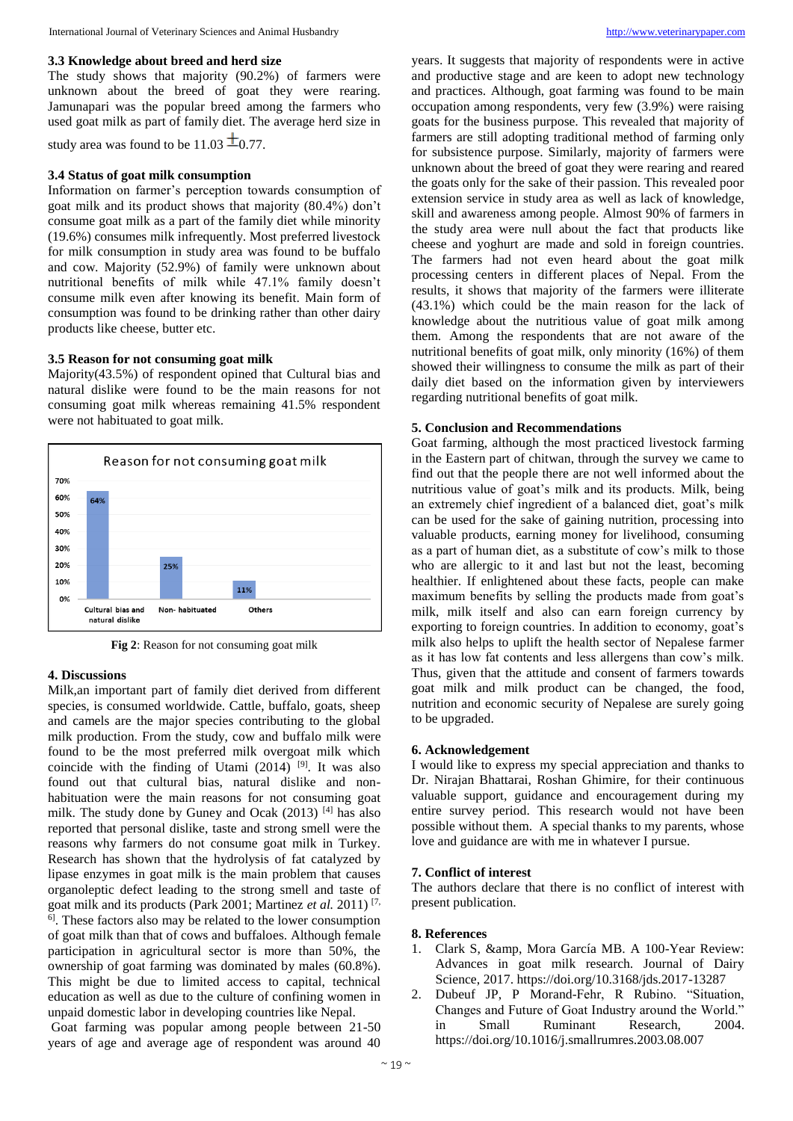### **3.3 Knowledge about breed and herd size**

The study shows that majority (90.2%) of farmers were unknown about the breed of goat they were rearing. Jamunapari was the popular breed among the farmers who used goat milk as part of family diet. The average herd size in

study area was found to be 11.03  $\pm$ 0.77.

### **3.4 Status of goat milk consumption**

Information on farmer's perception towards consumption of goat milk and its product shows that majority (80.4%) don't consume goat milk as a part of the family diet while minority (19.6%) consumes milk infrequently. Most preferred livestock for milk consumption in study area was found to be buffalo and cow. Majority (52.9%) of family were unknown about nutritional benefits of milk while 47.1% family doesn't consume milk even after knowing its benefit. Main form of consumption was found to be drinking rather than other dairy products like cheese, butter etc.

### **3.5 Reason for not consuming goat milk**

Majority(43.5%) of respondent opined that Cultural bias and natural dislike were found to be the main reasons for not consuming goat milk whereas remaining 41.5% respondent were not habituated to goat milk.



**Fig 2**: Reason for not consuming goat milk

### **4. Discussions**

Milk,an important part of family diet derived from different species, is consumed worldwide. Cattle, buffalo, goats, sheep and camels are the major species contributing to the global milk production. From the study, cow and buffalo milk were found to be the most preferred milk overgoat milk which coincide with the finding of Utami  $(2014)$ <sup>[9]</sup>. It was also found out that cultural bias, natural dislike and nonhabituation were the main reasons for not consuming goat milk. The study done by Guney and Ocak (2013) <sup>[4]</sup> has also reported that personal dislike, taste and strong smell were the reasons why farmers do not consume goat milk in Turkey. Research has shown that the hydrolysis of fat catalyzed by lipase enzymes in goat milk is the main problem that causes organoleptic defect leading to the strong smell and taste of goat milk and its products (Park 2001; Martinez *et al.* 2011) [7,  $\overline{6}$ . These factors also may be related to the lower consumption of goat milk than that of cows and buffaloes. Although female participation in agricultural sector is more than 50%, the ownership of goat farming was dominated by males (60.8%). This might be due to limited access to capital, technical education as well as due to the culture of confining women in unpaid domestic labor in developing countries like Nepal.

Goat farming was popular among people between 21-50 years of age and average age of respondent was around 40

years. It suggests that majority of respondents were in active and productive stage and are keen to adopt new technology and practices. Although, goat farming was found to be main occupation among respondents, very few (3.9%) were raising goats for the business purpose. This revealed that majority of farmers are still adopting traditional method of farming only for subsistence purpose. Similarly, majority of farmers were unknown about the breed of goat they were rearing and reared the goats only for the sake of their passion. This revealed poor extension service in study area as well as lack of knowledge, skill and awareness among people. Almost 90% of farmers in the study area were null about the fact that products like cheese and yoghurt are made and sold in foreign countries. The farmers had not even heard about the goat milk processing centers in different places of Nepal. From the results, it shows that majority of the farmers were illiterate (43.1%) which could be the main reason for the lack of knowledge about the nutritious value of goat milk among them. Among the respondents that are not aware of the nutritional benefits of goat milk, only minority (16%) of them showed their willingness to consume the milk as part of their daily diet based on the information given by interviewers regarding nutritional benefits of goat milk.

#### **5. Conclusion and Recommendations**

Goat farming, although the most practiced livestock farming in the Eastern part of chitwan, through the survey we came to find out that the people there are not well informed about the nutritious value of goat's milk and its products. Milk, being an extremely chief ingredient of a balanced diet, goat's milk can be used for the sake of gaining nutrition, processing into valuable products, earning money for livelihood, consuming as a part of human diet, as a substitute of cow's milk to those who are allergic to it and last but not the least, becoming healthier. If enlightened about these facts, people can make maximum benefits by selling the products made from goat's milk, milk itself and also can earn foreign currency by exporting to foreign countries. In addition to economy, goat's milk also helps to uplift the health sector of Nepalese farmer as it has low fat contents and less allergens than cow's milk. Thus, given that the attitude and consent of farmers towards goat milk and milk product can be changed, the food, nutrition and economic security of Nepalese are surely going to be upgraded.

### **6. Acknowledgement**

I would like to express my special appreciation and thanks to Dr. Nirajan Bhattarai, Roshan Ghimire, for their continuous valuable support, guidance and encouragement during my entire survey period. This research would not have been possible without them. A special thanks to my parents, whose love and guidance are with me in whatever I pursue.

### **7. Conflict of interest**

The authors declare that there is no conflict of interest with present publication.

#### **8. References**

- 1. Clark S, &amp, Mora García MB. A 100-Year Review: Advances in goat milk research. Journal of Dairy Science, 2017. https://doi.org/10.3168/jds.2017-13287
- 2. Dubeuf JP, P Morand-Fehr, R Rubino. "Situation, Changes and Future of Goat Industry around the World." in Small Ruminant Research, 2004. https://doi.org/10.1016/j.smallrumres.2003.08.007